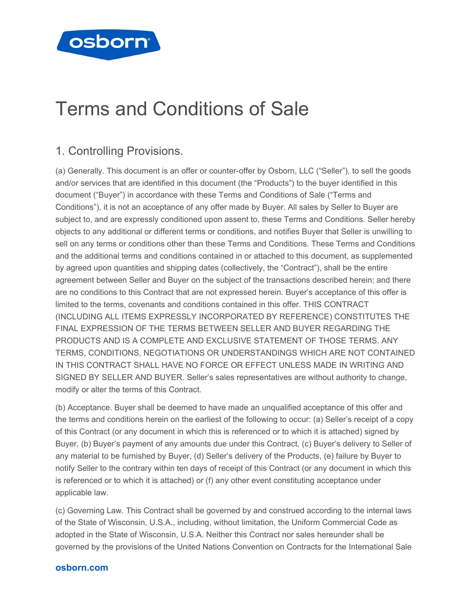

# Terms and Conditions of Sale

## 1. Controlling Provisions.

(a) Generally. This document is an offer or counter-offer by Osborn, LLC ("Seller"), to sell the goods and/or services that are identified in this document (the "Products") to the buyer identified in this document ("Buyer") in accordance with these Terms and Conditions of Sale ("Terms and Conditions"), it is not an acceptance of any offer made by Buyer. All sales by Seller to Buyer are subject to, and are expressly conditioned upon assent to, these Terms and Conditions. Seller hereby objects to any additional or different terms or conditions, and notifies Buyer that Seller is unwilling to sell on any terms or conditions other than these Terms and Conditions. These Terms and Conditions and the additional terms and conditions contained in or attached to this document, as supplemented by agreed upon quantities and shipping dates (collectively, the "Contract"), shall be the entire agreement between Seller and Buyer on the subject of the transactions described herein; and there are no conditions to this Contract that are not expressed herein. Buyer's acceptance of this offer is limited to the terms, covenants and conditions contained in this offer. THIS CONTRACT (INCLUDING ALL ITEMS EXPRESSLY INCORPORATED BY REFERENCE) CONSTITUTES THE FINAL EXPRESSION OF THE TERMS BETWEEN SELLER AND BUYER REGARDING THE PRODUCTS AND IS A COMPLETE AND EXCLUSIVE STATEMENT OF THOSE TERMS. ANY TERMS, CONDITIONS, NEGOTIATIONS OR UNDERSTANDINGS WHICH ARE NOT CONTAINED IN THIS CONTRACT SHALL HAVE NO FORCE OR EFFECT UNLESS MADE IN WRITING AND SIGNED BY SELLER AND BUYER. Seller's sales representatives are without authority to change, modify or alter the terms of this Contract.

(b) Acceptance. Buyer shall be deemed to have made an unqualified acceptance of this offer and the terms and conditions herein on the earliest of the following to occur: (a) Seller's receipt of a copy of this Contract (or any document in which this is referenced or to which it is attached) signed by Buyer, (b) Buyer's payment of any amounts due under this Contract, (c) Buyer's delivery to Seller of any material to be furnished by Buyer, (d) Seller's delivery of the Products, (e) failure by Buyer to notify Seller to the contrary within ten days of receipt of this Contract (or any document in which this is referenced or to which it is attached) or (f) any other event constituting acceptance under applicable law.

(c) Governing Law. This Contract shall be governed by and construed according to the internal laws of the State of Wisconsin, U.S.A., including, without limitation, the Uniform Commercial Code as adopted in the State of Wisconsin, U.S.A. Neither this Contract nor sales hereunder shall be governed by the provisions of the United Nations Convention on Contracts for the International Sale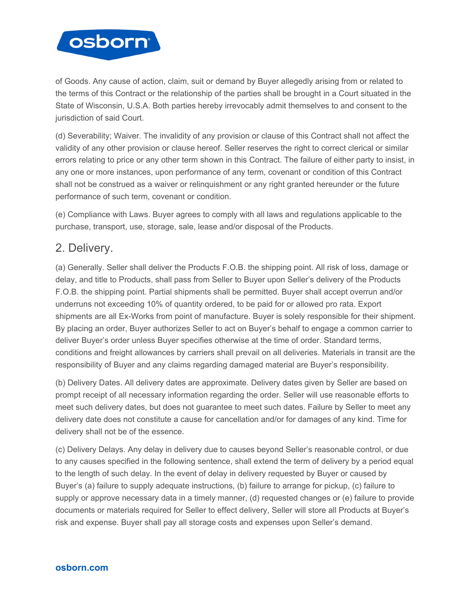

of Goods. Any cause of action, claim, suit or demand by Buyer allegedly arising from or related to the terms of this Contract or the relationship of the parties shall be brought in a Court situated in the State of Wisconsin, U.S.A. Both parties hereby irrevocably admit themselves to and consent to the jurisdiction of said Court.

(d) Severability; Waiver. The invalidity of any provision or clause of this Contract shall not affect the validity of any other provision or clause hereof. Seller reserves the right to correct clerical or similar errors relating to price or any other term shown in this Contract. The failure of either party to insist, in any one or more instances, upon performance of any term, covenant or condition of this Contract shall not be construed as a waiver or relinquishment or any right granted hereunder or the future performance of such term, covenant or condition.

(e) Compliance with Laws. Buyer agrees to comply with all laws and regulations applicable to the purchase, transport, use, storage, sale, lease and/or disposal of the Products.

## 2. Delivery.

(a) Generally. Seller shall deliver the Products F.O.B. the shipping point. All risk of loss, damage or delay, and title to Products, shall pass from Seller to Buyer upon Seller's delivery of the Products F.O.B. the shipping point. Partial shipments shall be permitted. Buyer shall accept overrun and/or underruns not exceeding 10% of quantity ordered, to be paid for or allowed pro rata. Export shipments are all Ex-Works from point of manufacture. Buyer is solely responsible for their shipment. By placing an order, Buyer authorizes Seller to act on Buyer's behalf to engage a common carrier to deliver Buyer's order unless Buyer specifies otherwise at the time of order. Standard terms, conditions and freight allowances by carriers shall prevail on all deliveries. Materials in transit are the responsibility of Buyer and any claims regarding damaged material are Buyer's responsibility.

(b) Delivery Dates. All delivery dates are approximate. Delivery dates given by Seller are based on prompt receipt of all necessary information regarding the order. Seller will use reasonable efforts to meet such delivery dates, but does not guarantee to meet such dates. Failure by Seller to meet any delivery date does not constitute a cause for cancellation and/or for damages of any kind. Time for delivery shall not be of the essence.

(c) Delivery Delays. Any delay in delivery due to causes beyond Seller's reasonable control, or due to any causes specified in the following sentence, shall extend the term of delivery by a period equal to the length of such delay. In the event of delay in delivery requested by Buyer or caused by Buyer's (a) failure to supply adequate instructions, (b) failure to arrange for pickup, (c) failure to supply or approve necessary data in a timely manner, (d) requested changes or (e) failure to provide documents or materials required for Seller to effect delivery, Seller will store all Products at Buyer's risk and expense. Buyer shall pay all storage costs and expenses upon Seller's demand.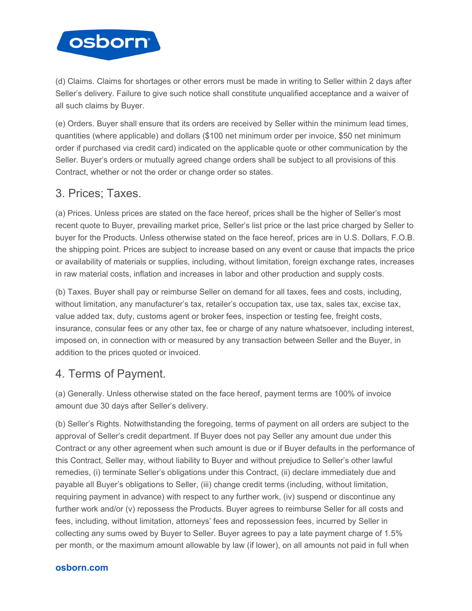

(d) Claims. Claims for shortages or other errors must be made in writing to Seller within 2 days after Seller's delivery. Failure to give such notice shall constitute unqualified acceptance and a waiver of all such claims by Buyer.

(e) Orders. Buyer shall ensure that its orders are received by Seller within the minimum lead times, quantities (where applicable) and dollars (\$100 net minimum order per invoice, \$50 net minimum order if purchased via credit card) indicated on the applicable quote or other communication by the Seller. Buyer's orders or mutually agreed change orders shall be subject to all provisions of this Contract, whether or not the order or change order so states.

## 3. Prices; Taxes.

(a) Prices. Unless prices are stated on the face hereof, prices shall be the higher of Seller's most recent quote to Buyer, prevailing market price, Seller's list price or the last price charged by Seller to buyer for the Products. Unless otherwise stated on the face hereof, prices are in U.S. Dollars, F.O.B. the shipping point. Prices are subject to increase based on any event or cause that impacts the price or availability of materials or supplies, including, without limitation, foreign exchange rates, increases in raw material costs, inflation and increases in labor and other production and supply costs.

(b) Taxes. Buyer shall pay or reimburse Seller on demand for all taxes, fees and costs, including, without limitation, any manufacturer's tax, retailer's occupation tax, use tax, sales tax, excise tax, value added tax, duty, customs agent or broker fees, inspection or testing fee, freight costs, insurance, consular fees or any other tax, fee or charge of any nature whatsoever, including interest, imposed on, in connection with or measured by any transaction between Seller and the Buyer, in addition to the prices quoted or invoiced.

## 4. Terms of Payment.

(a) Generally. Unless otherwise stated on the face hereof, payment terms are 100% of invoice amount due 30 days after Seller's delivery.

(b) Seller's Rights. Notwithstanding the foregoing, terms of payment on all orders are subject to the approval of Seller's credit department. If Buyer does not pay Seller any amount due under this Contract or any other agreement when such amount is due or if Buyer defaults in the performance of this Contract, Seller may, without liability to Buyer and without prejudice to Seller's other lawful remedies, (i) terminate Seller's obligations under this Contract, (ii) declare immediately due and payable all Buyer's obligations to Seller, (iii) change credit terms (including, without limitation, requiring payment in advance) with respect to any further work, (iv) suspend or discontinue any further work and/or (v) repossess the Products. Buyer agrees to reimburse Seller for all costs and fees, including, without limitation, attorneys' fees and repossession fees, incurred by Seller in collecting any sums owed by Buyer to Seller. Buyer agrees to pay a late payment charge of 1.5% per month, or the maximum amount allowable by law (if lower), on all amounts not paid in full when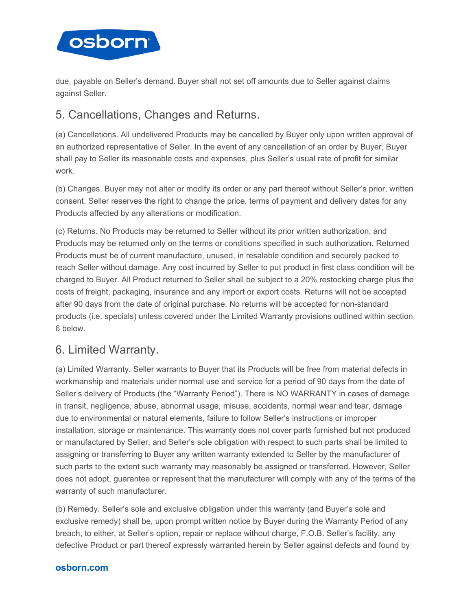

due, payable on Seller's demand. Buyer shall not set off amounts due to Seller against claims against Seller.

## 5. Cancellations, Changes and Returns.

(a) Cancellations. All undelivered Products may be cancelled by Buyer only upon written approval of an authorized representative of Seller. In the event of any cancellation of an order by Buyer, Buyer shall pay to Seller its reasonable costs and expenses, plus Seller's usual rate of profit for similar work.

(b) Changes. Buyer may not alter or modify its order or any part thereof without Seller's prior, written consent. Seller reserves the right to change the price, terms of payment and delivery dates for any Products affected by any alterations or modification.

(c) Returns. No Products may be returned to Seller without its prior written authorization, and Products may be returned only on the terms or conditions specified in such authorization. Returned Products must be of current manufacture, unused, in resalable condition and securely packed to reach Seller without damage. Any cost incurred by Seller to put product in first class condition will be charged to Buyer. All Product returned to Seller shall be subject to a 20% restocking charge plus the costs of freight, packaging, insurance and any import or export costs. Returns will not be accepted after 90 days from the date of original purchase. No returns will be accepted for non-standard products (i.e. specials) unless covered under the Limited Warranty provisions outlined within section 6 below.

## 6. Limited Warranty.

(a) Limited Warranty. Seller warrants to Buyer that its Products will be free from material defects in workmanship and materials under normal use and service for a period of 90 days from the date of Seller's delivery of Products (the "Warranty Period"). There is NO WARRANTY in cases of damage in transit, negligence, abuse, abnormal usage, misuse, accidents, normal wear and tear, damage due to environmental or natural elements, failure to follow Seller's instructions or improper installation, storage or maintenance. This warranty does not cover parts furnished but not produced or manufactured by Seller, and Seller's sole obligation with respect to such parts shall be limited to assigning or transferring to Buyer any written warranty extended to Seller by the manufacturer of such parts to the extent such warranty may reasonably be assigned or transferred. However, Seller does not adopt, guarantee or represent that the manufacturer will comply with any of the terms of the warranty of such manufacturer.

(b) Remedy. Seller's sole and exclusive obligation under this warranty (and Buyer's sole and exclusive remedy) shall be, upon prompt written notice by Buyer during the Warranty Period of any breach, to either, at Seller's option, repair or replace without charge, F.O.B. Seller's facility, any defective Product or part thereof expressly warranted herein by Seller against defects and found by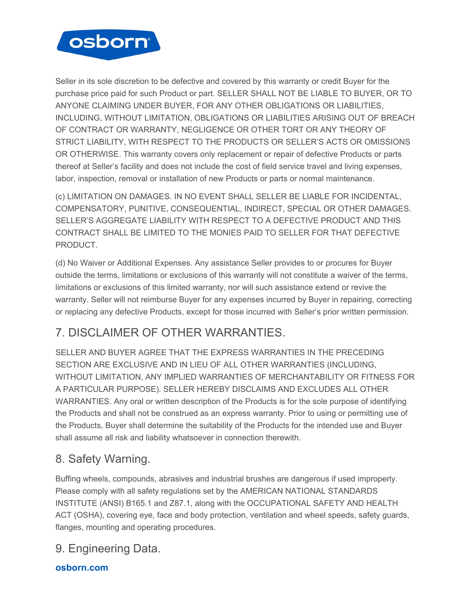

Seller in its sole discretion to be defective and covered by this warranty or credit Buyer for the purchase price paid for such Product or part. SELLER SHALL NOT BE LIABLE TO BUYER, OR TO ANYONE CLAIMING UNDER BUYER, FOR ANY OTHER OBLIGATIONS OR LIABILITIES, INCLUDING, WITHOUT LIMITATION, OBLIGATIONS OR LIABILITIES ARISING OUT OF BREACH OF CONTRACT OR WARRANTY, NEGLIGENCE OR OTHER TORT OR ANY THEORY OF STRICT LIABILITY, WITH RESPECT TO THE PRODUCTS OR SELLER'S ACTS OR OMISSIONS OR OTHERWISE. This warranty covers only replacement or repair of defective Products or parts thereof at Seller's facility and does not include the cost of field service travel and living expenses, labor, inspection, removal or installation of new Products or parts or normal maintenance.

(c) LIMITATION ON DAMAGES. IN NO EVENT SHALL SELLER BE LIABLE FOR INCIDENTAL, COMPENSATORY, PUNITIVE, CONSEQUENTIAL, INDIRECT, SPECIAL OR OTHER DAMAGES. SELLER'S AGGREGATE LIABILITY WITH RESPECT TO A DEFECTIVE PRODUCT AND THIS CONTRACT SHALL BE LIMITED TO THE MONIES PAID TO SELLER FOR THAT DEFECTIVE **PRODUCT** 

(d) No Waiver or Additional Expenses. Any assistance Seller provides to or procures for Buyer outside the terms, limitations or exclusions of this warranty will not constitute a waiver of the terms, limitations or exclusions of this limited warranty, nor will such assistance extend or revive the warranty. Seller will not reimburse Buyer for any expenses incurred by Buyer in repairing, correcting or replacing any defective Products, except for those incurred with Seller's prior written permission.

# 7. DISCLAIMER OF OTHER WARRANTIES.

SELLER AND BUYER AGREE THAT THE EXPRESS WARRANTIES IN THE PRECEDING SECTION ARE EXCLUSIVE AND IN LIEU OF ALL OTHER WARRANTIES (INCLUDING, WITHOUT LIMITATION, ANY IMPLIED WARRANTIES OF MERCHANTABILITY OR FITNESS FOR A PARTICULAR PURPOSE). SELLER HEREBY DISCLAIMS AND EXCLUDES ALL OTHER WARRANTIES. Any oral or written description of the Products is for the sole purpose of identifying the Products and shall not be construed as an express warranty. Prior to using or permitting use of the Products, Buyer shall determine the suitability of the Products for the intended use and Buyer shall assume all risk and liability whatsoever in connection therewith.

# 8. Safety Warning.

Buffing wheels, compounds, abrasives and industrial brushes are dangerous if used improperly. Please comply with all safety regulations set by the AMERICAN NATIONAL STANDARDS INSTITUTE (ANSI) B165.1 and Z87.1, along with the OCCUPATIONAL SAFETY AND HEALTH ACT (OSHA), covering eye, face and body protection, ventilation and wheel speeds, safety guards, flanges, mounting and operating procedures.

# 9. Engineering Data.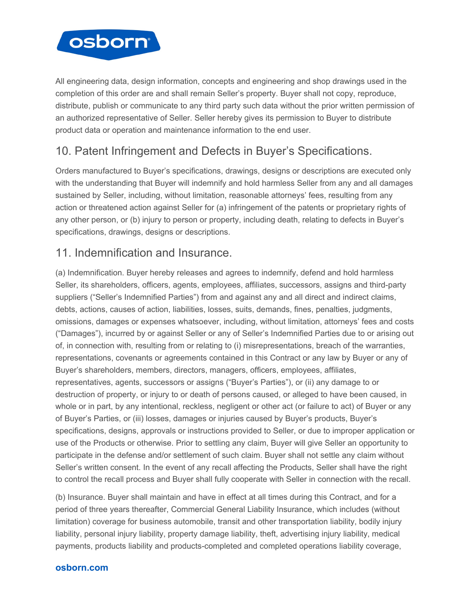

All engineering data, design information, concepts and engineering and shop drawings used in the completion of this order are and shall remain Seller's property. Buyer shall not copy, reproduce, distribute, publish or communicate to any third party such data without the prior written permission of an authorized representative of Seller. Seller hereby gives its permission to Buyer to distribute product data or operation and maintenance information to the end user.

# 10. Patent Infringement and Defects in Buyer's Specifications.

Orders manufactured to Buyer's specifications, drawings, designs or descriptions are executed only with the understanding that Buyer will indemnify and hold harmless Seller from any and all damages sustained by Seller, including, without limitation, reasonable attorneys' fees, resulting from any action or threatened action against Seller for (a) infringement of the patents or proprietary rights of any other person, or (b) injury to person or property, including death, relating to defects in Buyer's specifications, drawings, designs or descriptions.

# 11. Indemnification and Insurance.

(a) Indemnification. Buyer hereby releases and agrees to indemnify, defend and hold harmless Seller, its shareholders, officers, agents, employees, affiliates, successors, assigns and third-party suppliers ("Seller's Indemnified Parties") from and against any and all direct and indirect claims, debts, actions, causes of action, liabilities, losses, suits, demands, fines, penalties, judgments, omissions, damages or expenses whatsoever, including, without limitation, attorneys' fees and costs ("Damages"), incurred by or against Seller or any of Seller's Indemnified Parties due to or arising out of, in connection with, resulting from or relating to (i) misrepresentations, breach of the warranties, representations, covenants or agreements contained in this Contract or any law by Buyer or any of Buyer's shareholders, members, directors, managers, officers, employees, affiliates, representatives, agents, successors or assigns ("Buyer's Parties"), or (ii) any damage to or destruction of property, or injury to or death of persons caused, or alleged to have been caused, in whole or in part, by any intentional, reckless, negligent or other act (or failure to act) of Buyer or any of Buyer's Parties, or (iii) losses, damages or injuries caused by Buyer's products, Buyer's specifications, designs, approvals or instructions provided to Seller, or due to improper application or use of the Products or otherwise. Prior to settling any claim, Buyer will give Seller an opportunity to participate in the defense and/or settlement of such claim. Buyer shall not settle any claim without Seller's written consent. In the event of any recall affecting the Products, Seller shall have the right to control the recall process and Buyer shall fully cooperate with Seller in connection with the recall.

(b) Insurance. Buyer shall maintain and have in effect at all times during this Contract, and for a period of three years thereafter, Commercial General Liability Insurance, which includes (without limitation) coverage for business automobile, transit and other transportation liability, bodily injury liability, personal injury liability, property damage liability, theft, advertising injury liability, medical payments, products liability and products-completed and completed operations liability coverage,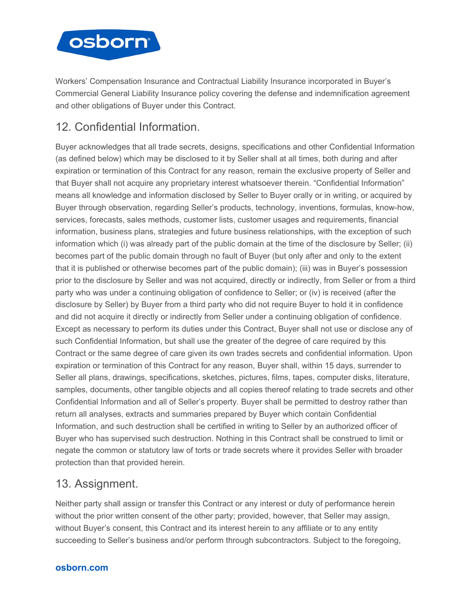

Workers' Compensation Insurance and Contractual Liability Insurance incorporated in Buyer's Commercial General Liability Insurance policy covering the defense and indemnification agreement and other obligations of Buyer under this Contract.

# 12. Confidential Information.

Buyer acknowledges that all trade secrets, designs, specifications and other Confidential Information (as defined below) which may be disclosed to it by Seller shall at all times, both during and after expiration or termination of this Contract for any reason, remain the exclusive property of Seller and that Buyer shall not acquire any proprietary interest whatsoever therein. "Confidential Information" means all knowledge and information disclosed by Seller to Buyer orally or in writing, or acquired by Buyer through observation, regarding Seller's products, technology, inventions, formulas, know-how, services, forecasts, sales methods, customer lists, customer usages and requirements, financial information, business plans, strategies and future business relationships, with the exception of such information which (i) was already part of the public domain at the time of the disclosure by Seller; (ii) becomes part of the public domain through no fault of Buyer (but only after and only to the extent that it is published or otherwise becomes part of the public domain); (iii) was in Buyer's possession prior to the disclosure by Seller and was not acquired, directly or indirectly, from Seller or from a third party who was under a continuing obligation of confidence to Seller; or (iv) is received (after the disclosure by Seller) by Buyer from a third party who did not require Buyer to hold it in confidence and did not acquire it directly or indirectly from Seller under a continuing obligation of confidence. Except as necessary to perform its duties under this Contract, Buyer shall not use or disclose any of such Confidential Information, but shall use the greater of the degree of care required by this Contract or the same degree of care given its own trades secrets and confidential information. Upon expiration or termination of this Contract for any reason, Buyer shall, within 15 days, surrender to Seller all plans, drawings, specifications, sketches, pictures, films, tapes, computer disks, literature, samples, documents, other tangible objects and all copies thereof relating to trade secrets and other Confidential Information and all of Seller's property. Buyer shall be permitted to destroy rather than return all analyses, extracts and summaries prepared by Buyer which contain Confidential Information, and such destruction shall be certified in writing to Seller by an authorized officer of Buyer who has supervised such destruction. Nothing in this Contract shall be construed to limit or negate the common or statutory law of torts or trade secrets where it provides Seller with broader protection than that provided herein.

## 13. Assignment.

Neither party shall assign or transfer this Contract or any interest or duty of performance herein without the prior written consent of the other party; provided, however, that Seller may assign, without Buyer's consent, this Contract and its interest herein to any affiliate or to any entity succeeding to Seller's business and/or perform through subcontractors. Subject to the foregoing,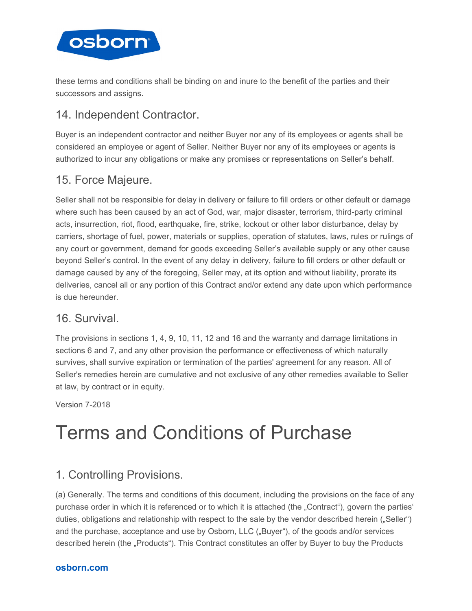

these terms and conditions shall be binding on and inure to the benefit of the parties and their successors and assigns.

## 14. Independent Contractor.

Buyer is an independent contractor and neither Buyer nor any of its employees or agents shall be considered an employee or agent of Seller. Neither Buyer nor any of its employees or agents is authorized to incur any obligations or make any promises or representations on Seller's behalf.

## 15. Force Majeure.

Seller shall not be responsible for delay in delivery or failure to fill orders or other default or damage where such has been caused by an act of God, war, major disaster, terrorism, third-party criminal acts, insurrection, riot, flood, earthquake, fire, strike, lockout or other labor disturbance, delay by carriers, shortage of fuel, power, materials or supplies, operation of statutes, laws, rules or rulings of any court or government, demand for goods exceeding Seller's available supply or any other cause beyond Seller's control. In the event of any delay in delivery, failure to fill orders or other default or damage caused by any of the foregoing, Seller may, at its option and without liability, prorate its deliveries, cancel all or any portion of this Contract and/or extend any date upon which performance is due hereunder.

## 16. Survival.

The provisions in sections 1, 4, 9, 10, 11, 12 and 16 and the warranty and damage limitations in sections 6 and 7, and any other provision the performance or effectiveness of which naturally survives, shall survive expiration or termination of the parties' agreement for any reason. All of Seller's remedies herein are cumulative and not exclusive of any other remedies available to Seller at law, by contract or in equity.

Version 7-2018

# Terms and Conditions of Purchase

# 1. Controlling Provisions.

(a) Generally. The terms and conditions of this document, including the provisions on the face of any purchase order in which it is referenced or to which it is attached (the "Contract"), govern the parties' duties, obligations and relationship with respect to the sale by the vendor described herein ("Seller") and the purchase, acceptance and use by Osborn, LLC ("Buyer"), of the goods and/or services described herein (the "Products"). This Contract constitutes an offer by Buyer to buy the Products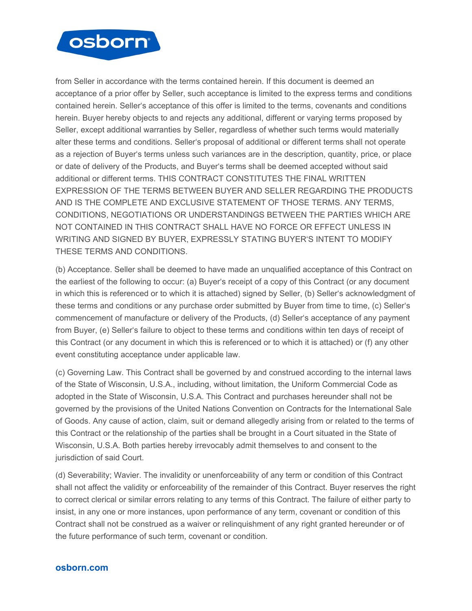

from Seller in accordance with the terms contained herein. If this document is deemed an acceptance of a prior offer by Seller, such acceptance is limited to the express terms and conditions contained herein. Seller's acceptance of this offer is limited to the terms, covenants and conditions herein. Buyer hereby objects to and rejects any additional, different or varying terms proposed by Seller, except additional warranties by Seller, regardless of whether such terms would materially alter these terms and conditions. Seller's proposal of additional or different terms shall not operate as a rejection of Buyer's terms unless such variances are in the description, quantity, price, or place or date of delivery of the Products, and Buyer's terms shall be deemed accepted without said additional or different terms. THIS CONTRACT CONSTITUTES THE FINAL WRITTEN EXPRESSION OF THE TERMS BETWEEN BUYER AND SELLER REGARDING THE PRODUCTS AND IS THE COMPLETE AND EXCLUSIVE STATEMENT OF THOSE TERMS. ANY TERMS, CONDITIONS, NEGOTIATIONS OR UNDERSTANDINGS BETWEEN THE PARTIES WHICH ARE NOT CONTAINED IN THIS CONTRACT SHALL HAVE NO FORCE OR EFFECT UNLESS IN WRITING AND SIGNED BY BUYER, EXPRESSLY STATING BUYER'S INTENT TO MODIFY THESE TERMS AND CONDITIONS.

(b) Acceptance. Seller shall be deemed to have made an unqualified acceptance of this Contract on the earliest of the following to occur: (a) Buyer's receipt of a copy of this Contract (or any document in which this is referenced or to which it is attached) signed by Seller, (b) Seller's acknowledgment of these terms and conditions or any purchase order submitted by Buyer from time to time, (c) Seller's commencement of manufacture or delivery of the Products, (d) Seller's acceptance of any payment from Buyer, (e) Seller's failure to object to these terms and conditions within ten days of receipt of this Contract (or any document in which this is referenced or to which it is attached) or (f) any other event constituting acceptance under applicable law.

(c) Governing Law. This Contract shall be governed by and construed according to the internal laws of the State of Wisconsin, U.S.A., including, without limitation, the Uniform Commercial Code as adopted in the State of Wisconsin, U.S.A. This Contract and purchases hereunder shall not be governed by the provisions of the United Nations Convention on Contracts for the International Sale of Goods. Any cause of action, claim, suit or demand allegedly arising from or related to the terms of this Contract or the relationship of the parties shall be brought in a Court situated in the State of Wisconsin, U.S.A. Both parties hereby irrevocably admit themselves to and consent to the jurisdiction of said Court.

(d) Severability; Wavier. The invalidity or unenforceability of any term or condition of this Contract shall not affect the validity or enforceability of the remainder of this Contract. Buyer reserves the right to correct clerical or similar errors relating to any terms of this Contract. The failure of either party to insist, in any one or more instances, upon performance of any term, covenant or condition of this Contract shall not be construed as a waiver or relinquishment of any right granted hereunder or of the future performance of such term, covenant or condition.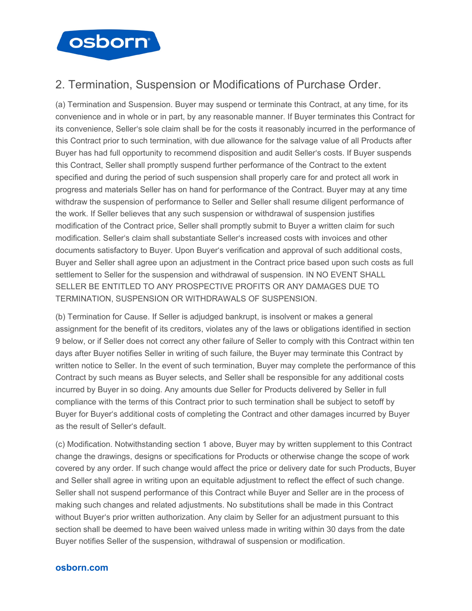

## 2. Termination, Suspension or Modifications of Purchase Order.

(a) Termination and Suspension. Buyer may suspend or terminate this Contract, at any time, for its convenience and in whole or in part, by any reasonable manner. If Buyer terminates this Contract for its convenience, Seller's sole claim shall be for the costs it reasonably incurred in the performance of this Contract prior to such termination, with due allowance for the salvage value of all Products after Buyer has had full opportunity to recommend disposition and audit Seller's costs. If Buyer suspends this Contract, Seller shall promptly suspend further performance of the Contract to the extent specified and during the period of such suspension shall properly care for and protect all work in progress and materials Seller has on hand for performance of the Contract. Buyer may at any time withdraw the suspension of performance to Seller and Seller shall resume diligent performance of the work. If Seller believes that any such suspension or withdrawal of suspension justifies modification of the Contract price, Seller shall promptly submit to Buyer a written claim for such modification. Seller's claim shall substantiate Seller's increased costs with invoices and other documents satisfactory to Buyer. Upon Buyer's verification and approval of such additional costs, Buyer and Seller shall agree upon an adjustment in the Contract price based upon such costs as full settlement to Seller for the suspension and withdrawal of suspension. IN NO EVENT SHALL SELLER BE ENTITLED TO ANY PROSPECTIVE PROFITS OR ANY DAMAGES DUE TO TERMINATION, SUSPENSION OR WITHDRAWALS OF SUSPENSION.

(b) Termination for Cause. If Seller is adjudged bankrupt, is insolvent or makes a general assignment for the benefit of its creditors, violates any of the laws or obligations identified in section 9 below, or if Seller does not correct any other failure of Seller to comply with this Contract within ten days after Buyer notifies Seller in writing of such failure, the Buyer may terminate this Contract by written notice to Seller. In the event of such termination, Buyer may complete the performance of this Contract by such means as Buyer selects, and Seller shall be responsible for any additional costs incurred by Buyer in so doing. Any amounts due Seller for Products delivered by Seller in full compliance with the terms of this Contract prior to such termination shall be subject to setoff by Buyer for Buyer's additional costs of completing the Contract and other damages incurred by Buyer as the result of Seller's default.

(c) Modification. Notwithstanding section 1 above, Buyer may by written supplement to this Contract change the drawings, designs or specifications for Products or otherwise change the scope of work covered by any order. If such change would affect the price or delivery date for such Products, Buyer and Seller shall agree in writing upon an equitable adjustment to reflect the effect of such change. Seller shall not suspend performance of this Contract while Buyer and Seller are in the process of making such changes and related adjustments. No substitutions shall be made in this Contract without Buyer's prior written authorization. Any claim by Seller for an adjustment pursuant to this section shall be deemed to have been waived unless made in writing within 30 days from the date Buyer notifies Seller of the suspension, withdrawal of suspension or modification.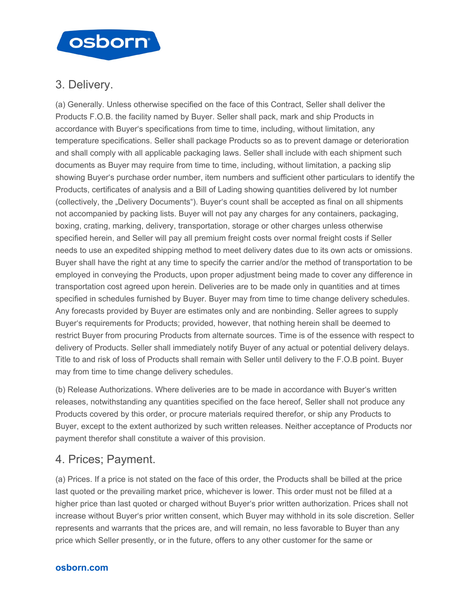

## 3. Delivery.

(a) Generally. Unless otherwise specified on the face of this Contract, Seller shall deliver the Products F.O.B. the facility named by Buyer. Seller shall pack, mark and ship Products in accordance with Buyer's specifications from time to time, including, without limitation, any temperature specifications. Seller shall package Products so as to prevent damage or deterioration and shall comply with all applicable packaging laws. Seller shall include with each shipment such documents as Buyer may require from time to time, including, without limitation, a packing slip showing Buyer's purchase order number, item numbers and sufficient other particulars to identify the Products, certificates of analysis and a Bill of Lading showing quantities delivered by lot number (collectively, the "Delivery Documents"). Buyer's count shall be accepted as final on all shipments not accompanied by packing lists. Buyer will not pay any charges for any containers, packaging, boxing, crating, marking, delivery, transportation, storage or other charges unless otherwise specified herein, and Seller will pay all premium freight costs over normal freight costs if Seller needs to use an expedited shipping method to meet delivery dates due to its own acts or omissions. Buyer shall have the right at any time to specify the carrier and/or the method of transportation to be employed in conveying the Products, upon proper adjustment being made to cover any difference in transportation cost agreed upon herein. Deliveries are to be made only in quantities and at times specified in schedules furnished by Buyer. Buyer may from time to time change delivery schedules. Any forecasts provided by Buyer are estimates only and are nonbinding. Seller agrees to supply Buyer's requirements for Products; provided, however, that nothing herein shall be deemed to restrict Buyer from procuring Products from alternate sources. Time is of the essence with respect to delivery of Products. Seller shall immediately notify Buyer of any actual or potential delivery delays. Title to and risk of loss of Products shall remain with Seller until delivery to the F.O.B point. Buyer may from time to time change delivery schedules.

(b) Release Authorizations. Where deliveries are to be made in accordance with Buyer's written releases, notwithstanding any quantities specified on the face hereof, Seller shall not produce any Products covered by this order, or procure materials required therefor, or ship any Products to Buyer, except to the extent authorized by such written releases. Neither acceptance of Products nor payment therefor shall constitute a waiver of this provision.

## 4. Prices; Payment.

(a) Prices. If a price is not stated on the face of this order, the Products shall be billed at the price last quoted or the prevailing market price, whichever is lower. This order must not be filled at a higher price than last quoted or charged without Buyer's prior written authorization. Prices shall not increase without Buyer's prior written consent, which Buyer may withhold in its sole discretion. Seller represents and warrants that the prices are, and will remain, no less favorable to Buyer than any price which Seller presently, or in the future, offers to any other customer for the same or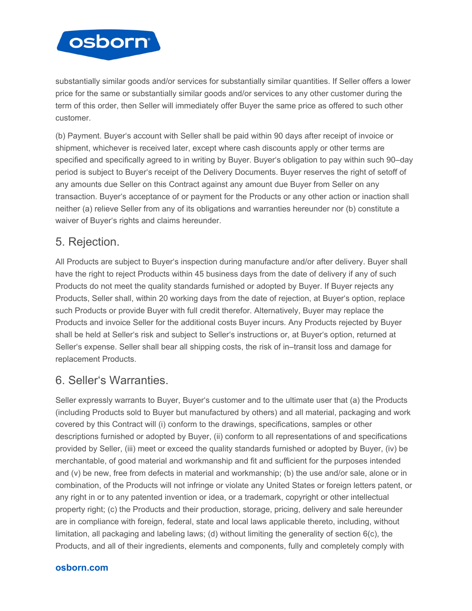

substantially similar goods and/or services for substantially similar quantities. If Seller offers a lower price for the same or substantially similar goods and/or services to any other customer during the term of this order, then Seller will immediately offer Buyer the same price as offered to such other customer.

(b) Payment. Buyer's account with Seller shall be paid within 90 days after receipt of invoice or shipment, whichever is received later, except where cash discounts apply or other terms are specified and specifically agreed to in writing by Buyer. Buyer's obligation to pay within such 90–day period is subject to Buyer's receipt of the Delivery Documents. Buyer reserves the right of setoff of any amounts due Seller on this Contract against any amount due Buyer from Seller on any transaction. Buyer's acceptance of or payment for the Products or any other action or inaction shall neither (a) relieve Seller from any of its obligations and warranties hereunder nor (b) constitute a waiver of Buyer's rights and claims hereunder.

## 5. Rejection.

All Products are subject to Buyer's inspection during manufacture and/or after delivery. Buyer shall have the right to reject Products within 45 business days from the date of delivery if any of such Products do not meet the quality standards furnished or adopted by Buyer. If Buyer rejects any Products, Seller shall, within 20 working days from the date of rejection, at Buyer's option, replace such Products or provide Buyer with full credit therefor. Alternatively, Buyer may replace the Products and invoice Seller for the additional costs Buyer incurs. Any Products rejected by Buyer shall be held at Seller's risk and subject to Seller's instructions or, at Buyer's option, returned at Seller's expense. Seller shall bear all shipping costs, the risk of in–transit loss and damage for replacement Products.

## 6. Seller's Warranties.

Seller expressly warrants to Buyer, Buyer's customer and to the ultimate user that (a) the Products (including Products sold to Buyer but manufactured by others) and all material, packaging and work covered by this Contract will (i) conform to the drawings, specifications, samples or other descriptions furnished or adopted by Buyer, (ii) conform to all representations of and specifications provided by Seller, (iii) meet or exceed the quality standards furnished or adopted by Buyer, (iv) be merchantable, of good material and workmanship and fit and sufficient for the purposes intended and (v) be new, free from defects in material and workmanship; (b) the use and/or sale, alone or in combination, of the Products will not infringe or violate any United States or foreign letters patent, or any right in or to any patented invention or idea, or a trademark, copyright or other intellectual property right; (c) the Products and their production, storage, pricing, delivery and sale hereunder are in compliance with foreign, federal, state and local laws applicable thereto, including, without limitation, all packaging and labeling laws; (d) without limiting the generality of section 6(c), the Products, and all of their ingredients, elements and components, fully and completely comply with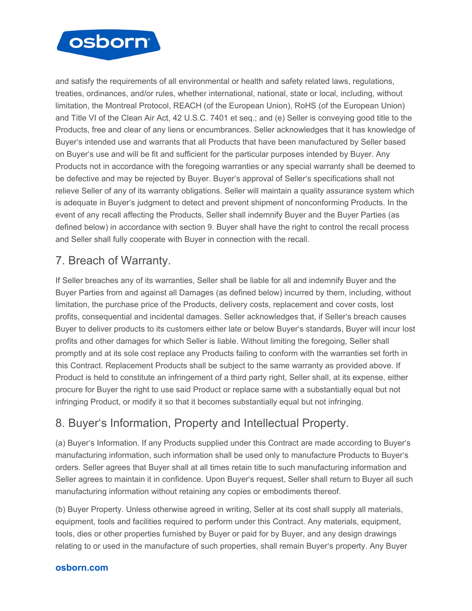

and satisfy the requirements of all environmental or health and safety related laws, regulations, treaties, ordinances, and/or rules, whether international, national, state or local, including, without limitation, the Montreal Protocol, REACH (of the European Union), RoHS (of the European Union) and Title VI of the Clean Air Act, 42 U.S.C. 7401 et seq.; and (e) Seller is conveying good title to the Products, free and clear of any liens or encumbrances. Seller acknowledges that it has knowledge of Buyer's intended use and warrants that all Products that have been manufactured by Seller based on Buyer's use and will be fit and sufficient for the particular purposes intended by Buyer. Any Products not in accordance with the foregoing warranties or any special warranty shall be deemed to be defective and may be rejected by Buyer. Buyer's approval of Seller's specifications shall not relieve Seller of any of its warranty obligations. Seller will maintain a quality assurance system which is adequate in Buyer's judgment to detect and prevent shipment of nonconforming Products. In the event of any recall affecting the Products, Seller shall indemnify Buyer and the Buyer Parties (as defined below) in accordance with section 9. Buyer shall have the right to control the recall process and Seller shall fully cooperate with Buyer in connection with the recall.

# 7. Breach of Warranty.

If Seller breaches any of its warranties, Seller shall be liable for all and indemnify Buyer and the Buyer Parties from and against all Damages (as defined below) incurred by them, including, without limitation, the purchase price of the Products, delivery costs, replacement and cover costs, lost profits, consequential and incidental damages. Seller acknowledges that, if Seller's breach causes Buyer to deliver products to its customers either late or below Buyer's standards, Buyer will incur lost profits and other damages for which Seller is liable. Without limiting the foregoing, Seller shall promptly and at its sole cost replace any Products failing to conform with the warranties set forth in this Contract. Replacement Products shall be subject to the same warranty as provided above. If Product is held to constitute an infringement of a third party right, Seller shall, at its expense, either procure for Buyer the right to use said Product or replace same with a substantially equal but not infringing Product, or modify it so that it becomes substantially equal but not infringing.

# 8. Buyer's Information, Property and Intellectual Property.

(a) Buyer's Information. If any Products supplied under this Contract are made according to Buyer's manufacturing information, such information shall be used only to manufacture Products to Buyer's orders. Seller agrees that Buyer shall at all times retain title to such manufacturing information and Seller agrees to maintain it in confidence. Upon Buyer's request, Seller shall return to Buyer all such manufacturing information without retaining any copies or embodiments thereof.

(b) Buyer Property. Unless otherwise agreed in writing, Seller at its cost shall supply all materials, equipment, tools and facilities required to perform under this Contract. Any materials, equipment, tools, dies or other properties furnished by Buyer or paid for by Buyer, and any design drawings relating to or used in the manufacture of such properties, shall remain Buyer's property. Any Buyer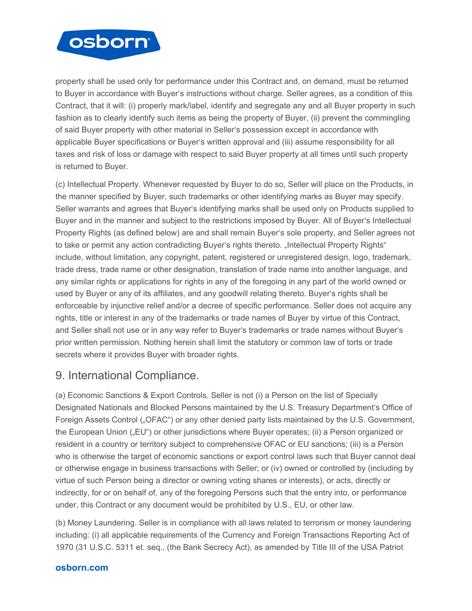

property shall be used only for performance under this Contract and, on demand, must be returned to Buyer in accordance with Buyer's instructions without charge. Seller agrees, as a condition of this Contract, that it will: (i) properly mark/label, identify and segregate any and all Buyer property in such fashion as to clearly identify such items as being the property of Buyer, (ii) prevent the commingling of said Buyer property with other material in Seller's possession except in accordance with applicable Buyer specifications or Buyer's written approval and (iii) assume responsibility for all taxes and risk of loss or damage with respect to said Buyer property at all times until such property is returned to Buyer.

(c) Intellectual Property. Whenever requested by Buyer to do so, Seller will place on the Products, in the manner specified by Buyer, such trademarks or other identifying marks as Buyer may specify. Seller warrants and agrees that Buyer's identifying marks shall be used only on Products supplied to Buyer and in the manner and subject to the restrictions imposed by Buyer. All of Buyer's Intellectual Property Rights (as defined below) are and shall remain Buyer's sole property, and Seller agrees not to take or permit any action contradicting Buyer's rights thereto. "Intellectual Property Rights" include, without limitation, any copyright, patent, registered or unregistered design, logo, trademark, trade dress, trade name or other designation, translation of trade name into another language, and any similar rights or applications for rights in any of the foregoing in any part of the world owned or used by Buyer or any of its affiliates, and any goodwill relating thereto. Buyer's rights shall be enforceable by injunctive relief and/or a decree of specific performance. Seller does not acquire any rights, title or interest in any of the trademarks or trade names of Buyer by virtue of this Contract, and Seller shall not use or in any way refer to Buyer's trademarks or trade names without Buyer's prior written permission. Nothing herein shall limit the statutory or common law of torts or trade secrets where it provides Buyer with broader rights.

## 9. International Compliance.

(a) Economic Sanctions & Export Controls. Seller is not (i) a Person on the list of Specially Designated Nationals and Blocked Persons maintained by the U.S. Treasury Department's Office of Foreign Assets Control ("OFAC") or any other denied party lists maintained by the U.S. Government, the European Union ("EU") or other jurisdictions where Buyer operates; (ii) a Person organized or resident in a country or territory subject to comprehensive OFAC or EU sanctions; (iii) is a Person who is otherwise the target of economic sanctions or export control laws such that Buyer cannot deal or otherwise engage in business transactions with Seller; or (iv) owned or controlled by (including by virtue of such Person being a director or owning voting shares or interests), or acts, directly or indirectly, for or on behalf of, any of the foregoing Persons such that the entry into, or performance under, this Contract or any document would be prohibited by U.S., EU, or other law.

(b) Money Laundering. Seller is in compliance with all laws related to terrorism or money laundering including: (i) all applicable requirements of the Currency and Foreign Transactions Reporting Act of 1970 (31 U.S.C. 5311 et. seq., (the Bank Secrecy Act), as amended by Title III of the USA Patriot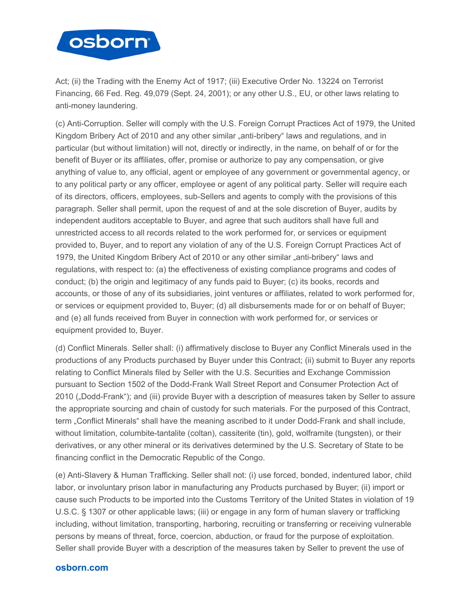

Act; (ii) the Trading with the Enemy Act of 1917; (iii) Executive Order No. 13224 on Terrorist Financing, 66 Fed. Reg. 49,079 (Sept. 24, 2001); or any other U.S., EU, or other laws relating to anti-money laundering.

(c) Anti-Corruption. Seller will comply with the U.S. Foreign Corrupt Practices Act of 1979, the United Kingdom Bribery Act of 2010 and any other similar "anti-bribery" laws and regulations, and in particular (but without limitation) will not, directly or indirectly, in the name, on behalf of or for the benefit of Buyer or its affiliates, offer, promise or authorize to pay any compensation, or give anything of value to, any official, agent or employee of any government or governmental agency, or to any political party or any officer, employee or agent of any political party. Seller will require each of its directors, officers, employees, sub-Sellers and agents to comply with the provisions of this paragraph. Seller shall permit, upon the request of and at the sole discretion of Buyer, audits by independent auditors acceptable to Buyer, and agree that such auditors shall have full and unrestricted access to all records related to the work performed for, or services or equipment provided to, Buyer, and to report any violation of any of the U.S. Foreign Corrupt Practices Act of 1979, the United Kingdom Bribery Act of 2010 or any other similar "anti-bribery" laws and regulations, with respect to: (a) the effectiveness of existing compliance programs and codes of conduct; (b) the origin and legitimacy of any funds paid to Buyer; (c) its books, records and accounts, or those of any of its subsidiaries, joint ventures or affiliates, related to work performed for, or services or equipment provided to, Buyer; (d) all disbursements made for or on behalf of Buyer; and (e) all funds received from Buyer in connection with work performed for, or services or equipment provided to, Buyer.

(d) Conflict Minerals. Seller shall: (i) affirmatively disclose to Buyer any Conflict Minerals used in the productions of any Products purchased by Buyer under this Contract; (ii) submit to Buyer any reports relating to Conflict Minerals filed by Seller with the U.S. Securities and Exchange Commission pursuant to Section 1502 of the Dodd-Frank Wall Street Report and Consumer Protection Act of 2010 ("Dodd-Frank"); and (iii) provide Buyer with a description of measures taken by Seller to assure the appropriate sourcing and chain of custody for such materials. For the purposed of this Contract, term "Conflict Minerals" shall have the meaning ascribed to it under Dodd-Frank and shall include, without limitation, columbite-tantalite (coltan), cassiterite (tin), gold, wolframite (tungsten), or their derivatives, or any other mineral or its derivatives determined by the U.S. Secretary of State to be financing conflict in the Democratic Republic of the Congo.

(e) Anti-Slavery & Human Trafficking. Seller shall not: (i) use forced, bonded, indentured labor, child labor, or involuntary prison labor in manufacturing any Products purchased by Buyer; (ii) import or cause such Products to be imported into the Customs Territory of the United States in violation of 19 U.S.C. § 1307 or other applicable laws; (iii) or engage in any form of human slavery or trafficking including, without limitation, transporting, harboring, recruiting or transferring or receiving vulnerable persons by means of threat, force, coercion, abduction, or fraud for the purpose of exploitation. Seller shall provide Buyer with a description of the measures taken by Seller to prevent the use of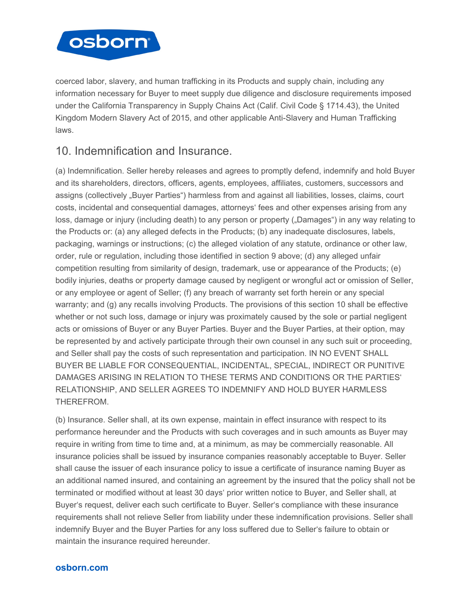

coerced labor, slavery, and human trafficking in its Products and supply chain, including any information necessary for Buyer to meet supply due diligence and disclosure requirements imposed under the California Transparency in Supply Chains Act (Calif. Civil Code § 1714.43), the United Kingdom Modern Slavery Act of 2015, and other applicable Anti-Slavery and Human Trafficking laws.

## 10. Indemnification and Insurance.

(a) Indemnification. Seller hereby releases and agrees to promptly defend, indemnify and hold Buyer and its shareholders, directors, officers, agents, employees, affiliates, customers, successors and assigns (collectively "Buyer Parties") harmless from and against all liabilities, losses, claims, court costs, incidental and consequential damages, attorneys' fees and other expenses arising from any loss, damage or injury (including death) to any person or property ("Damages") in any way relating to the Products or: (a) any alleged defects in the Products; (b) any inadequate disclosures, labels, packaging, warnings or instructions; (c) the alleged violation of any statute, ordinance or other law, order, rule or regulation, including those identified in section 9 above; (d) any alleged unfair competition resulting from similarity of design, trademark, use or appearance of the Products; (e) bodily injuries, deaths or property damage caused by negligent or wrongful act or omission of Seller, or any employee or agent of Seller; (f) any breach of warranty set forth herein or any special warranty; and (g) any recalls involving Products. The provisions of this section 10 shall be effective whether or not such loss, damage or injury was proximately caused by the sole or partial negligent acts or omissions of Buyer or any Buyer Parties. Buyer and the Buyer Parties, at their option, may be represented by and actively participate through their own counsel in any such suit or proceeding, and Seller shall pay the costs of such representation and participation. IN NO EVENT SHALL BUYER BE LIABLE FOR CONSEQUENTIAL, INCIDENTAL, SPECIAL, INDIRECT OR PUNITIVE DAMAGES ARISING IN RELATION TO THESE TERMS AND CONDITIONS OR THE PARTIES' RELATIONSHIP, AND SELLER AGREES TO INDEMNIFY AND HOLD BUYER HARMLESS THEREFROM.

(b) Insurance. Seller shall, at its own expense, maintain in effect insurance with respect to its performance hereunder and the Products with such coverages and in such amounts as Buyer may require in writing from time to time and, at a minimum, as may be commercially reasonable. All insurance policies shall be issued by insurance companies reasonably acceptable to Buyer. Seller shall cause the issuer of each insurance policy to issue a certificate of insurance naming Buyer as an additional named insured, and containing an agreement by the insured that the policy shall not be terminated or modified without at least 30 days' prior written notice to Buyer, and Seller shall, at Buyer's request, deliver each such certificate to Buyer. Seller's compliance with these insurance requirements shall not relieve Seller from liability under these indemnification provisions. Seller shall indemnify Buyer and the Buyer Parties for any loss suffered due to Seller's failure to obtain or maintain the insurance required hereunder.